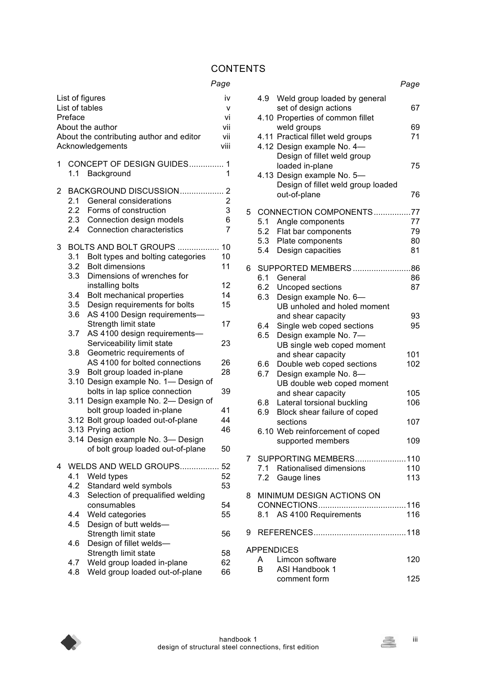## **CONTENTS**

## *Page*

| List of figures<br>List of tables<br>Preface<br>About the author<br>About the contributing author and editor<br>Acknowledgements |                                |                                                                                                                                           |                                                              |
|----------------------------------------------------------------------------------------------------------------------------------|--------------------------------|-------------------------------------------------------------------------------------------------------------------------------------------|--------------------------------------------------------------|
| 1                                                                                                                                |                                | CONCEPT OF DESIGN GUIDES<br>1.1 Background                                                                                                | $\mathbf 1$<br>1                                             |
| 2                                                                                                                                | 2.1<br>2.2<br>2.3<br>2.4       | BACKGROUND DISCUSSION<br>General considerations<br>Forms of construction<br>Connection design models<br><b>Connection characteristics</b> | $\overline{2}$<br>$\overline{2}$<br>3<br>6<br>$\overline{7}$ |
| 3                                                                                                                                | 3.1<br>3.2<br>3.3 <sub>2</sub> | BOLTS AND BOLT GROUPS<br>Bolt types and bolting categories<br><b>Bolt dimensions</b><br>Dimensions of wrenches for                        | 10<br>10<br>11                                               |
|                                                                                                                                  |                                | installing bolts                                                                                                                          | 12                                                           |
|                                                                                                                                  | 3.4                            | Bolt mechanical properties                                                                                                                | 14                                                           |
|                                                                                                                                  | 3.5                            | Design requirements for bolts                                                                                                             | 15                                                           |
|                                                                                                                                  | 3.6                            | AS 4100 Design requirements-                                                                                                              |                                                              |
|                                                                                                                                  |                                | Strength limit state                                                                                                                      | 17                                                           |
|                                                                                                                                  | 3.7                            | AS 4100 design requirements-                                                                                                              |                                                              |
|                                                                                                                                  |                                | Serviceability limit state                                                                                                                | 23                                                           |
|                                                                                                                                  | 3.8                            | Geometric requirements of                                                                                                                 |                                                              |
|                                                                                                                                  |                                | AS 4100 for bolted connections                                                                                                            | 26                                                           |
|                                                                                                                                  |                                |                                                                                                                                           |                                                              |
|                                                                                                                                  | 3.9                            | Bolt group loaded in-plane                                                                                                                | 28                                                           |
|                                                                                                                                  |                                | 3.10 Design example No. 1- Design of                                                                                                      |                                                              |
|                                                                                                                                  |                                | bolts in lap splice connection                                                                                                            | 39                                                           |
|                                                                                                                                  |                                | 3.11 Design example No. 2- Design of                                                                                                      |                                                              |
|                                                                                                                                  |                                | bolt group loaded in-plane                                                                                                                | 41                                                           |
|                                                                                                                                  |                                | 3.12 Bolt group loaded out-of-plane                                                                                                       | 44                                                           |
|                                                                                                                                  |                                | 3.13 Prying action                                                                                                                        | 46                                                           |
|                                                                                                                                  |                                | 3.14 Design example No. 3- Design                                                                                                         |                                                              |
|                                                                                                                                  |                                | of bolt group loaded out-of-plane                                                                                                         | 50                                                           |
|                                                                                                                                  |                                |                                                                                                                                           |                                                              |
| 4                                                                                                                                |                                | WELDS AND WELD GROUPS                                                                                                                     | 52                                                           |
|                                                                                                                                  | 4.1                            | Weld types                                                                                                                                | 52                                                           |
|                                                                                                                                  | 4.2                            | Standard weld symbols                                                                                                                     | 53                                                           |
|                                                                                                                                  | 4.3                            | Selection of prequalified welding                                                                                                         |                                                              |
|                                                                                                                                  |                                | consumables                                                                                                                               | 54                                                           |
|                                                                                                                                  | 4.4                            | Weld categories                                                                                                                           | 55                                                           |
|                                                                                                                                  | 4.5                            | Design of butt welds-                                                                                                                     |                                                              |
|                                                                                                                                  |                                | Strength limit state                                                                                                                      | 56                                                           |
|                                                                                                                                  | 4.6                            | Design of fillet welds-                                                                                                                   |                                                              |
|                                                                                                                                  |                                | Strength limit state                                                                                                                      | 58                                                           |
|                                                                                                                                  | 4.7                            | Weld group loaded in-plane                                                                                                                | 62                                                           |
|                                                                                                                                  | 4.8                            | Weld group loaded out-of-plane                                                                                                            | 66                                                           |
|                                                                                                                                  |                                |                                                                                                                                           |                                                              |

|   |            |                                                                                                                                                                  | Page                 |
|---|------------|------------------------------------------------------------------------------------------------------------------------------------------------------------------|----------------------|
|   |            | 4.9 Weld group loaded by general<br>set of design actions<br>4.10 Properties of common fillet                                                                    | 67                   |
|   |            | weld groups<br>4.11 Practical fillet weld groups                                                                                                                 | 69<br>71             |
|   |            | 4.12 Design example No. 4-<br>Design of fillet weld group<br>loaded in-plane<br>4.13 Design example No. 5-<br>Design of fillet weld group loaded<br>out-of-plane | 75<br>76             |
|   | 5.1<br>5.4 | 5 CONNECTION COMPONENTS77<br>Angle components<br>5.2 Flat bar components<br>5.3 Plate components<br>Design capacities                                            | 77<br>79<br>80<br>81 |
| 6 | 6.2<br>6.3 | 6.1 General<br>Uncoped sections<br>Design example No. 6-                                                                                                         | 86<br>87             |
|   | 6.4<br>6.5 | UB unholed and holed moment<br>and shear capacity<br>Single web coped sections<br>Design example No. 7-<br>UB single web coped moment                            | 93<br>95             |
|   | 6.6<br>6.7 | and shear capacity<br>Double web coped sections<br>Design example No. 8-<br>UB double web coped moment                                                           | 101<br>102           |
|   | 6.8<br>6.9 | and shear capacity<br>Lateral torsional buckling<br>Block shear failure of coped                                                                                 | 105<br>106           |
|   |            | sections<br>6.10 Web reinforcement of coped<br>supported members                                                                                                 | 107<br>109           |
|   |            | 7 SUPPORTING MEMBERS110<br>7.1 Rationalised dimensions<br>7.2 Gauge lines                                                                                        | 110<br>113           |
| 8 |            | MINIMUM DESIGN ACTIONS ON<br>8.1 AS 4100 Requirements                                                                                                            | 116                  |
|   |            |                                                                                                                                                                  |                      |
|   | B.         | <b>APPENDICES</b><br>A Limcon software<br>ASI Handbook 1                                                                                                         | 120                  |
|   |            | comment form                                                                                                                                                     | 125                  |

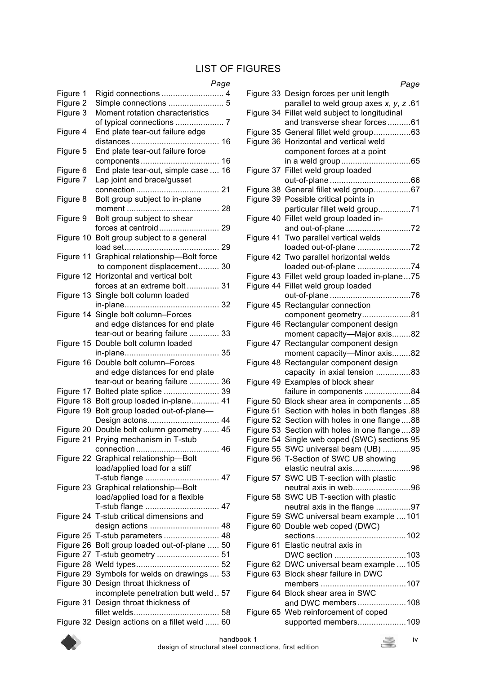# LIST OF FIGURES

#### *Page*

|           | raye                                          |
|-----------|-----------------------------------------------|
| Figure 1  | Rigid connections  4                          |
| Figure 2  | Simple connections  5                         |
| Figure 3  | Moment rotation characteristics               |
|           |                                               |
| Figure 4  | End plate tear-out failure edge               |
|           |                                               |
| Figure 5  | End plate tear-out failure force              |
|           |                                               |
|           |                                               |
| Figure 6  | End plate tear-out, simple case  16           |
| Figure 7  | Lap joint and brace/gusset                    |
|           |                                               |
| Figure 8  | Bolt group subject to in-plane                |
|           |                                               |
| Figure 9  | Bolt group subject to shear                   |
|           |                                               |
| Figure 10 | Bolt group subject to a general               |
|           |                                               |
| Figure 11 | Graphical relationship-Bolt force             |
|           | to component displacement 30                  |
|           | Horizontal and vertical bolt                  |
| Figure 12 |                                               |
|           | forces at an extreme bolt 31                  |
|           | Figure 13 Single bolt column loaded           |
|           |                                               |
|           | Figure 14 Single bolt column-Forces           |
|           | and edge distances for end plate              |
|           | tear-out or bearing failure  33               |
|           | Figure 15 Double bolt column loaded           |
|           |                                               |
|           | Figure 16 Double bolt column-Forces           |
|           | and edge distances for end plate              |
|           |                                               |
|           | tear-out or bearing failure  36               |
|           | Figure 17 Bolted plate splice  39             |
|           | Figure 18 Bolt group loaded in-plane 41       |
| Figure 19 | Bolt group loaded out-of-plane-               |
|           | Design actons 44                              |
|           | Figure 20 Double bolt column geometry  45     |
| Figure 21 | Prying mechanism in T-stub                    |
|           |                                               |
|           | Figure 22 Graphical relationship-Bolt         |
|           | load/applied load for a stiff                 |
|           | T-stub flange  47                             |
|           | Figure 23 Graphical relationship-Bolt         |
|           |                                               |
|           | load/applied load for a flexible              |
|           | T-stub flange  47                             |
|           | Figure 24 T-stub critical dimensions and      |
|           | design actions  48                            |
|           | Figure 25 T-stub parameters  48               |
|           | Figure 26 Bolt group loaded out-of-plane  50  |
|           | Figure 27 T-stub geometry  51                 |
|           |                                               |
|           | Figure 29 Symbols for welds on drawings  53   |
|           | Figure 30 Design throat thickness of          |
|           | incomplete penetration butt weld 57           |
|           |                                               |
|           | Figure 31 Design throat thickness of          |
|           |                                               |
|           | Figure 32 Design actions on a fillet weld  60 |

| Page                                             |
|--------------------------------------------------|
| Figure 33 Design forces per unit length          |
| parallel to weld group axes $x, y, z$ .61        |
| Figure 34 Fillet weld subject to longitudinal    |
| and transverse shear forces61                    |
| Figure 35 General fillet weld group63            |
| Figure 36 Horizontal and vertical weld           |
| component forces at a point                      |
|                                                  |
| Figure 37 Fillet weld group loaded               |
|                                                  |
| Figure 38 General fillet weld group67            |
|                                                  |
| Figure 39 Possible critical points in            |
| particular fillet weld group71                   |
| Figure 40 Fillet weld group loaded in-           |
|                                                  |
| Figure 41 Two parallel vertical welds            |
| loaded out-of-plane 72                           |
| Figure 42 Two parallel horizontal welds          |
| loaded out-of-plane 74                           |
| Figure 43 Fillet weld group loaded in-plane75    |
| Figure 44 Fillet weld group loaded               |
|                                                  |
| Figure 45 Rectangular connection                 |
| component geometry81                             |
| Figure 46 Rectangular component design           |
| moment capacity-Major axis82                     |
| Figure 47 Rectangular component design           |
| moment capacity-Minor axis82                     |
| Figure 48 Rectangular component design           |
| capacity in axial tension 83                     |
| Figure 49 Examples of block shear                |
| failure in components 84                         |
| Figure 50 Block shear area in components 85      |
| Figure 51 Section with holes in both flanges .88 |
|                                                  |
| Figure 52 Section with holes in one flange  88   |
| Figure 53 Section with holes in one flange 89    |
| Figure 54 Single web coped (SWC) sections 95     |
| Figure 55 SWC universal beam (UB) 95             |
| Figure 56 T-Section of SWC UB showing            |
| elastic neutral axis96                           |
| Figure 57 SWC UB T-section with plastic          |
| neutral axis in web96                            |
| Figure 58 SWC UB T-section with plastic          |
| neutral axis in the flange 97                    |
| Figure 59 SWC universal beam example 101         |
| Figure 60 Double web coped (DWC)                 |
|                                                  |
| Figure 61 Elastic neutral axis in                |
| DWC section 103                                  |
| Figure 62 DWC universal beam example  105        |
| Figure 63 Block shear failure in DWC             |
|                                                  |
| Figure 64 Block shear area in SWC                |
| and DWC members108                               |
| Figure 65 Web reinforcement of coped             |
| supported members109                             |
|                                                  |